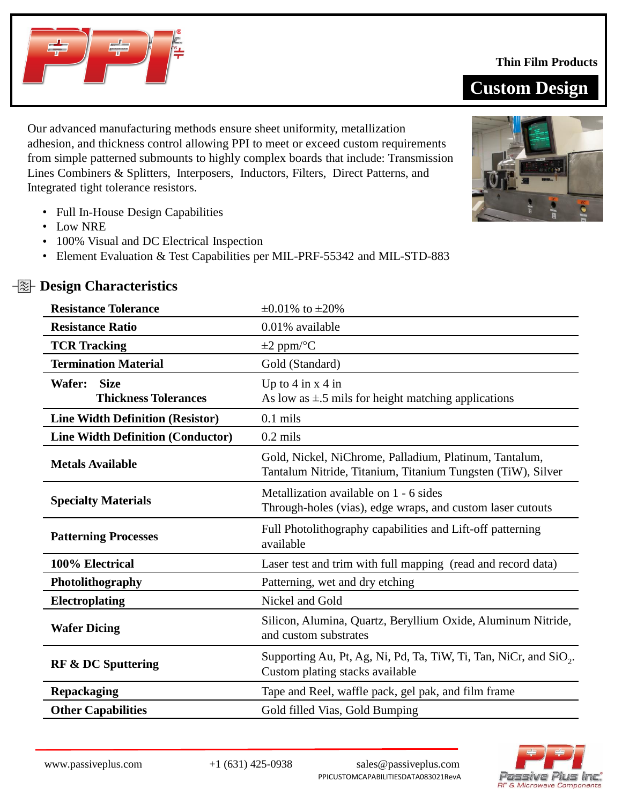

## **Thin Film Products**





Lines Combiners & Splitters, Interposers, Inductors, Filters, Direct Patterns, and Integrated tight tolerance resistors.

Our advanced manufacturing methods ensure sheet uniformity, metallization

adhesion, and thickness control allowing PPI to meet or exceed custom requirements from simple patterned submounts to highly complex boards that include: Transmission

- Full In-House Design Capabilities
- Low NRE
- 100% Visual and DC Electrical Inspection
- Element Evaluation & Test Capabilities per MIL-PRF-55342 and MIL-STD-883

| <b>Resistance Tolerance</b>              | $\pm 0.01\%$ to $\pm 20\%$                                                                                            |  |
|------------------------------------------|-----------------------------------------------------------------------------------------------------------------------|--|
| <b>Resistance Ratio</b>                  | 0.01% available                                                                                                       |  |
| <b>TCR Tracking</b>                      | $\pm 2$ ppm/°C                                                                                                        |  |
| <b>Termination Material</b>              | Gold (Standard)                                                                                                       |  |
| <b>Size</b><br>Wafer:                    | Up to $4$ in $x$ $4$ in                                                                                               |  |
| <b>Thickness Tolerances</b>              | As low as $\pm$ 5 mils for height matching applications                                                               |  |
| <b>Line Width Definition (Resistor)</b>  | $0.1$ mils                                                                                                            |  |
| <b>Line Width Definition (Conductor)</b> | $0.2$ mils                                                                                                            |  |
| <b>Metals Available</b>                  | Gold, Nickel, NiChrome, Palladium, Platinum, Tantalum,<br>Tantalum Nitride, Titanium, Titanium Tungsten (TiW), Silver |  |
| <b>Specialty Materials</b>               | Metallization available on 1 - 6 sides<br>Through-holes (vias), edge wraps, and custom laser cutouts                  |  |
| <b>Patterning Processes</b>              | Full Photolithography capabilities and Lift-off patterning<br>available                                               |  |
| 100% Electrical                          | Laser test and trim with full mapping (read and record data)                                                          |  |
| Photolithography                         | Patterning, wet and dry etching                                                                                       |  |
| <b>Electroplating</b>                    | Nickel and Gold                                                                                                       |  |
| <b>Wafer Dicing</b>                      | Silicon, Alumina, Quartz, Beryllium Oxide, Aluminum Nitride,<br>and custom substrates                                 |  |
| <b>RF &amp; DC Sputtering</b>            | Supporting Au, Pt, Ag, Ni, Pd, Ta, TiW, Ti, Tan, NiCr, and SiO <sub>2</sub> .<br>Custom plating stacks available      |  |
| <b>Repackaging</b>                       | Tape and Reel, waffle pack, gel pak, and film frame                                                                   |  |
| <b>Other Capabilities</b>                | Gold filled Vias, Gold Bumping                                                                                        |  |

# *<u></u><sup>* $\frac{1}{20}$  *Design Characteristics*</sup>

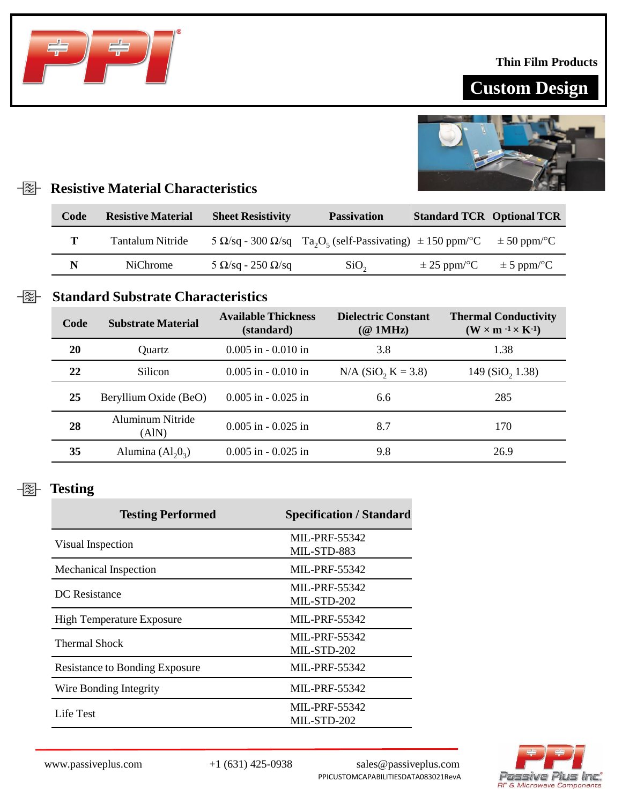### **Thin Film Products**

# **Custom Design**



# **Resistive Material Characteristics**

| Code | <b>Resistive Material</b> | <b>Sheet Resistivity</b>      | <b>Passivation</b>                                                                                                | <b>Standard TCR Optional TCR</b> |                 |
|------|---------------------------|-------------------------------|-------------------------------------------------------------------------------------------------------------------|----------------------------------|-----------------|
| т    | Tantalum Nitride          |                               | 5 $\Omega$ /sq - 300 $\Omega$ /sq Ta <sub>2</sub> O <sub>5</sub> (self-Passivating) $\pm$ 150 ppm/ <sup>o</sup> C |                                  | $\pm$ 50 ppm/°C |
| N    | <b>NiChrome</b>           | $5 \Omega/sq - 250 \Omega/sq$ | SiO <sub>2</sub>                                                                                                  | $\pm$ 25 ppm/°C                  | $\pm$ 5 ppm/°C  |

## **Standard Substrate Characteristics**

| Code | <b>Substrate Material</b> | <b>Available Thickness</b><br>(standard) | <b>Dielectric Constant</b><br>$(\textcircled{a}$ 1MHz) | <b>Thermal Conductivity</b><br>$(W \times m^{-1} \times K^{-1})$ |
|------|---------------------------|------------------------------------------|--------------------------------------------------------|------------------------------------------------------------------|
| 20   | Quartz                    | $0.005$ in $-0.010$ in                   | 3.8                                                    | 1.38                                                             |
| 22   | Silicon                   | $0.005$ in $-0.010$ in                   | $N/A$ (SiO <sub>2</sub> K = 3.8)                       | 149 (SiO <sub>2</sub> 1.38)                                      |
| 25   | Beryllium Oxide (BeO)     | $0.005$ in $-0.025$ in                   | 6.6                                                    | 285                                                              |
| 28   | Aluminum Nitride<br>(AIN) | $0.005$ in $-0.025$ in                   | 8.7                                                    | 170                                                              |
| 35   | Alumina $(Al_2O_3)$       | $0.005$ in $-0.025$ in                   | 9.8                                                    | 26.9                                                             |

#### **Testing**  $\frac{1}{2}$

| <b>Testing Performed</b>              | <b>Specification / Standard</b> |  |
|---------------------------------------|---------------------------------|--|
| Visual Inspection                     | <b>MIL-PRF-55342</b>            |  |
|                                       | MIL-STD-883                     |  |
| Mechanical Inspection                 | MIL-PRF-55342                   |  |
| DC Resistance                         | MIL-PRF-55342                   |  |
|                                       | MIL-STD-202                     |  |
| <b>High Temperature Exposure</b>      | <b>MIL-PRF-55342</b>            |  |
| <b>Thermal Shock</b>                  | <b>MIL-PRF-55342</b>            |  |
|                                       | MIL-STD-202                     |  |
| <b>Resistance to Bonding Exposure</b> | <b>MIL-PRF-55342</b>            |  |
| Wire Bonding Integrity                | <b>MIL-PRF-55342</b>            |  |
| Life Test                             | <b>MIL-PRF-55342</b>            |  |
|                                       | MIL-STD-202                     |  |



www.passiveplus.com +1 (631) 425-0938 sales@passiveplus.com PPICUSTOMCAPABILITIESDATA083021RevA